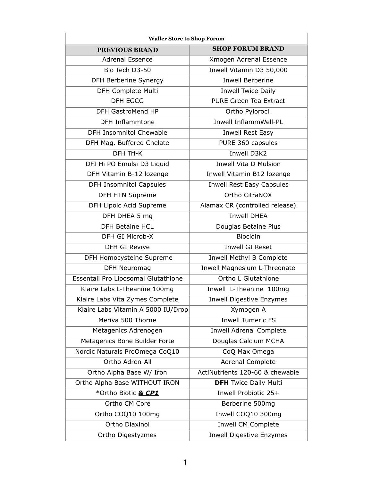| <b>Waller Store to Shop Forum</b>   |                                  |
|-------------------------------------|----------------------------------|
| <b>PREVIOUS BRAND</b>               | <b>SHOP FORUM BRAND</b>          |
| <b>Adrenal Essence</b>              | Xmogen Adrenal Essence           |
| Bio Tech D3-50                      | Inwell Vitamin D3 50,000         |
| <b>DFH Berberine Synergy</b>        | <b>Inwell Berberine</b>          |
| <b>DFH Complete Multi</b>           | <b>Inwell Twice Daily</b>        |
| <b>DFH EGCG</b>                     | <b>PURE Green Tea Extract</b>    |
| DFH GastroMend HP                   | Ortho Pylorocil                  |
| <b>DFH Inflammtone</b>              | Inwell InflammWell-PL            |
| <b>DFH Insomnitol Chewable</b>      | <b>Inwell Rest Easy</b>          |
| DFH Mag. Buffered Chelate           | PURE 360 capsules                |
| <b>DFH Tri-K</b>                    | <b>Inwell D3K2</b>               |
| DFI Hi PO Emulsi D3 Liquid          | <b>Inwell Vita D Mulsion</b>     |
| DFH Vitamin B-12 lozenge            | Inwell Vitamin B12 lozenge       |
| <b>DFH Insomnitol Capsules</b>      | <b>Inwell Rest Easy Capsules</b> |
| <b>DFH HTN Supreme</b>              | <b>Ortho CitraNOX</b>            |
| DFH Lipoic Acid Supreme             | Alamax CR (controlled release)   |
| DFH DHEA 5 mg                       | <b>Inwell DHEA</b>               |
| <b>DFH Betaine HCL</b>              | Douglas Betaine Plus             |
| DFH GI Microb-X                     | <b>Biocidin</b>                  |
| <b>DFH GI Revive</b>                | <b>Inwell GI Reset</b>           |
| <b>DFH Homocysteine Supreme</b>     | <b>Inwell Methyl B Complete</b>  |
| <b>DFH Neuromag</b>                 | Inwell Magnesium L-Threonate     |
| Essentail Pro Liposomal Glutathione | <b>Ortho L Glutathione</b>       |
| Klaire Labs L-Theanine 100mg        | Inwell L-Theanine 100mg          |
| Klaire Labs Vita Zymes Complete     | <b>Inwell Digestive Enzymes</b>  |
| Klaire Labs Vitamin A 5000 IU/Drop  | Xymogen A                        |
| Meriva 500 Thorne                   | <b>Inwell Tumeric FS</b>         |
| Metagenics Adrenogen                | <b>Inwell Adrenal Complete</b>   |
| Metagenics Bone Builder Forte       | Douglas Calcium MCHA             |
| Nordic Naturals ProOmega CoQ10      | CoQ Max Omega                    |
| <b>Ortho Adren-All</b>              | <b>Adrenal Complete</b>          |
| Ortho Alpha Base W/ Iron            | ActiNutrients 120-60 & chewable  |
| Ortho Alpha Base WITHOUT IRON       | <b>DFH</b> Twice Daily Multi     |
| *Ortho Biotic & CP1                 | Inwell Probiotic 25+             |
| Ortho CM Core                       | Berberine 500mg                  |
| Ortho COQ10 100mg                   | Inwell COQ10 300mg               |
| Ortho Diaxinol                      | <b>Inwell CM Complete</b>        |
| Ortho Digestyzmes                   | <b>Inwell Digestive Enzymes</b>  |